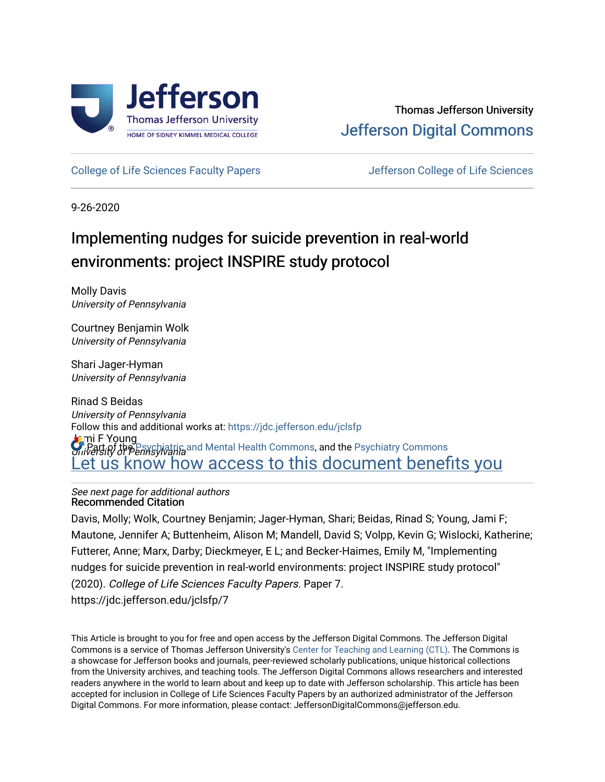

# Thomas Jefferson University [Jefferson Digital Commons](https://jdc.jefferson.edu/)

[College of Life Sciences Faculty Papers](https://jdc.jefferson.edu/jclsfp) **Jefferson College of Life Sciences** 

9-26-2020

# Implementing nudges for suicide prevention in real-world environments: project INSPIRE study protocol

Molly Davis University of Pennsylvania

Courtney Benjamin Wolk University of Pennsylvania

Shari Jager-Hyman University of Pennsylvania

Rinad S Beidas University of Pennsylvania **Jami F Young U** Part of the [Psychiatric and Mental Health Commons,](http://network.bepress.com/hgg/discipline/711?utm_source=jdc.jefferson.edu%2Fjclsfp%2F7&utm_medium=PDF&utm_campaign=PDFCoverPages) and the Psychiatry Commons Follow this and additional works at: [https://jdc.jefferson.edu/jclsfp](https://jdc.jefferson.edu/jclsfp?utm_source=jdc.jefferson.edu%2Fjclsfp%2F7&utm_medium=PDF&utm_campaign=PDFCoverPages) [Let us know how access to this document benefits you](https://library.jefferson.edu/forms/jdc/index.cfm) 

See next page for additional authors Recommended Citation

Davis, Molly; Wolk, Courtney Benjamin; Jager-Hyman, Shari; Beidas, Rinad S; Young, Jami F; Mautone, Jennifer A; Buttenheim, Alison M; Mandell, David S; Volpp, Kevin G; Wislocki, Katherine; Futterer, Anne; Marx, Darby; Dieckmeyer, E L; and Becker-Haimes, Emily M, "Implementing nudges for suicide prevention in real-world environments: project INSPIRE study protocol" (2020). College of Life Sciences Faculty Papers. Paper 7. https://jdc.jefferson.edu/jclsfp/7

This Article is brought to you for free and open access by the Jefferson Digital Commons. The Jefferson Digital Commons is a service of Thomas Jefferson University's [Center for Teaching and Learning \(CTL\)](http://www.jefferson.edu/university/teaching-learning.html/). The Commons is a showcase for Jefferson books and journals, peer-reviewed scholarly publications, unique historical collections from the University archives, and teaching tools. The Jefferson Digital Commons allows researchers and interested readers anywhere in the world to learn about and keep up to date with Jefferson scholarship. This article has been accepted for inclusion in College of Life Sciences Faculty Papers by an authorized administrator of the Jefferson Digital Commons. For more information, please contact: JeffersonDigitalCommons@jefferson.edu.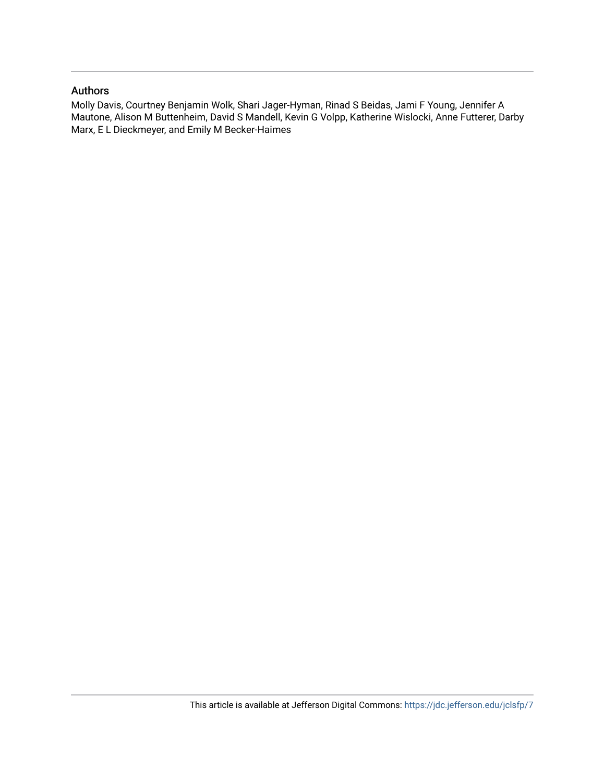# Authors

Molly Davis, Courtney Benjamin Wolk, Shari Jager-Hyman, Rinad S Beidas, Jami F Young, Jennifer A Mautone, Alison M Buttenheim, David S Mandell, Kevin G Volpp, Katherine Wislocki, Anne Futterer, Darby Marx, E L Dieckmeyer, and Emily M Becker-Haimes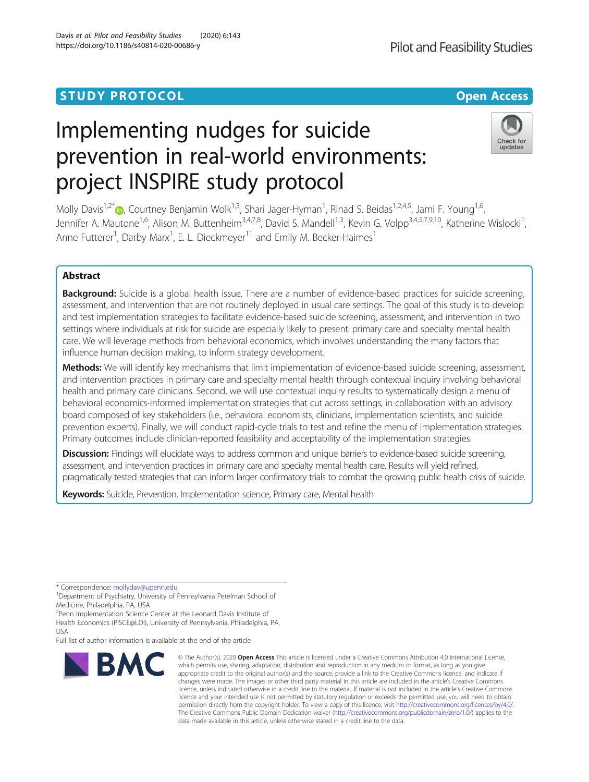# **STUDY PROTOCOL CONSUMING THE RESERVE ACCESS**

# Implementing nudges for suicide prevention in real-world environments: project INSPIRE study protocol

Molly Davis<sup>1,2[\\*](http://orcid.org/0000-0001-5959-3558)</sup>®, Courtney Benjamin Wolk<sup>1,3</sup>, Shari Jager-Hyman<sup>1</sup>, Rinad S. Beidas<sup>1,2,4,5</sup>, Jami F. Young<sup>1,6</sup>, Jennifer A. Mautone<sup>1,6</sup>, Alison M. Buttenheim<sup>3,4,7,8</sup>, David S. Mandell<sup>1,3</sup>, Kevin G. Volpp<sup>3,4,5,7,9,10</sup>, Katherine Wislocki<sup>1</sup>, , Anne Futterer<sup>1</sup>, Darby Marx<sup>1</sup>, E. L. Dieckmeyer<sup>11</sup> and Emily M. Becker-Haimes<sup>1</sup>

# Abstract

**Background:** Suicide is a global health issue. There are a number of evidence-based practices for suicide screening, assessment, and intervention that are not routinely deployed in usual care settings. The goal of this study is to develop and test implementation strategies to facilitate evidence-based suicide screening, assessment, and intervention in two settings where individuals at risk for suicide are especially likely to present: primary care and specialty mental health care. We will leverage methods from behavioral economics, which involves understanding the many factors that influence human decision making, to inform strategy development.

Methods: We will identify key mechanisms that limit implementation of evidence-based suicide screening, assessment, and intervention practices in primary care and specialty mental health through contextual inquiry involving behavioral health and primary care clinicians. Second, we will use contextual inquiry results to systematically design a menu of behavioral economics-informed implementation strategies that cut across settings, in collaboration with an advisory board composed of key stakeholders (i.e., behavioral economists, clinicians, implementation scientists, and suicide prevention experts). Finally, we will conduct rapid-cycle trials to test and refine the menu of implementation strategies. Primary outcomes include clinician-reported feasibility and acceptability of the implementation strategies.

Discussion: Findings will elucidate ways to address common and unique barriers to evidence-based suicide screening, assessment, and intervention practices in primary care and specialty mental health care. Results will yield refined, pragmatically tested strategies that can inform larger confirmatory trials to combat the growing public health crisis of suicide.

Keywords: Suicide, Prevention, Implementation science, Primary care, Mental health

\* Correspondence: [mollydav@upenn.edu](mailto:mollydav@upenn.edu) <sup>1</sup>

<sup>1</sup>Department of Psychiatry, University of Pennsylvania Perelman School of Medicine, Philadelphia, PA, USA

Health Economics (PISCE@LDI), University of Pennsylvania, Philadelphia, PA,

which permits use, sharing, adaptation, distribution and reproduction in any medium or format, as long as you give appropriate credit to the original author(s) and the source, provide a link to the Creative Commons licence, and indicate if changes were made. The images or other third party material in this article are included in the article's Creative Commons licence, unless indicated otherwise in a credit line to the material. If material is not included in the article's Creative Commons licence and your intended use is not permitted by statutory regulation or exceeds the permitted use, you will need to obtain permission directly from the copyright holder. To view a copy of this licence, visit [http://creativecommons.org/licenses/by/4.0/.](http://creativecommons.org/licenses/by/4.0/) The Creative Commons Public Domain Dedication waiver [\(http://creativecommons.org/publicdomain/zero/1.0/](http://creativecommons.org/publicdomain/zero/1.0/)) applies to the data made available in this article, unless otherwise stated in a credit line to the data.

© The Author(s), 2020 **Open Access** This article is licensed under a Creative Commons Attribution 4.0 International License,

<sup>2</sup> Penn Implementation Science Center at the Leonard Davis Institute of USA

Full list of author information is available at the end of the article



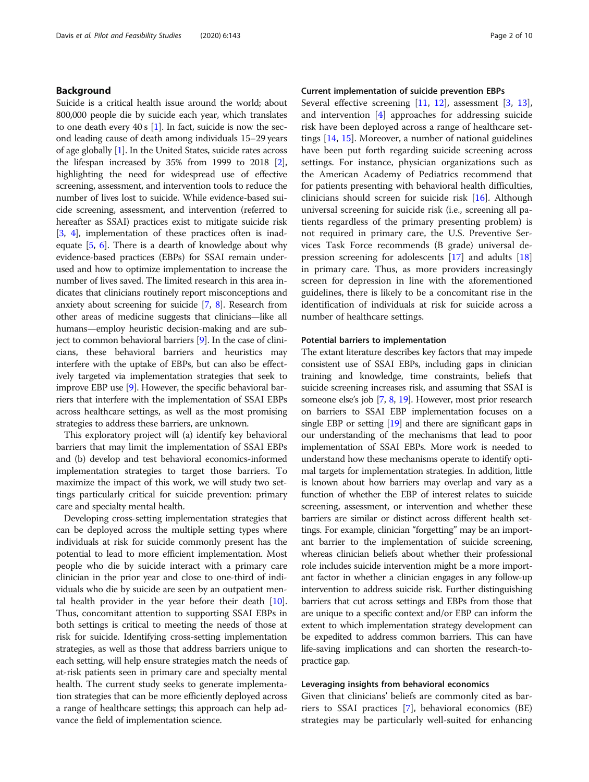# Background

Suicide is a critical health issue around the world; about 800,000 people die by suicide each year, which translates to one death every 40 s  $[1]$  $[1]$  $[1]$ . In fact, suicide is now the second leading cause of death among individuals 15–29 years of age globally [[1](#page-10-0)]. In the United States, suicide rates across the lifespan increased by 35% from 1999 to 2018 [[2](#page-10-0)], highlighting the need for widespread use of effective screening, assessment, and intervention tools to reduce the number of lives lost to suicide. While evidence-based suicide screening, assessment, and intervention (referred to hereafter as SSAI) practices exist to mitigate suicide risk [[3,](#page-10-0) [4](#page-10-0)], implementation of these practices often is inadequate [[5,](#page-10-0) [6](#page-10-0)]. There is a dearth of knowledge about why evidence-based practices (EBPs) for SSAI remain underused and how to optimize implementation to increase the number of lives saved. The limited research in this area indicates that clinicians routinely report misconceptions and anxiety about screening for suicide [\[7,](#page-10-0) [8\]](#page-10-0). Research from other areas of medicine suggests that clinicians—like all humans—employ heuristic decision-making and are subject to common behavioral barriers [[9\]](#page-10-0). In the case of clinicians, these behavioral barriers and heuristics may interfere with the uptake of EBPs, but can also be effectively targeted via implementation strategies that seek to improve EBP use [\[9](#page-10-0)]. However, the specific behavioral barriers that interfere with the implementation of SSAI EBPs across healthcare settings, as well as the most promising strategies to address these barriers, are unknown.

This exploratory project will (a) identify key behavioral barriers that may limit the implementation of SSAI EBPs and (b) develop and test behavioral economics-informed implementation strategies to target those barriers. To maximize the impact of this work, we will study two settings particularly critical for suicide prevention: primary care and specialty mental health.

Developing cross-setting implementation strategies that can be deployed across the multiple setting types where individuals at risk for suicide commonly present has the potential to lead to more efficient implementation. Most people who die by suicide interact with a primary care clinician in the prior year and close to one-third of individuals who die by suicide are seen by an outpatient mental health provider in the year before their death  $[10]$  $[10]$  $[10]$ . Thus, concomitant attention to supporting SSAI EBPs in both settings is critical to meeting the needs of those at risk for suicide. Identifying cross-setting implementation strategies, as well as those that address barriers unique to each setting, will help ensure strategies match the needs of at-risk patients seen in primary care and specialty mental health. The current study seeks to generate implementation strategies that can be more efficiently deployed across a range of healthcare settings; this approach can help advance the field of implementation science.

# Current implementation of suicide prevention EBPs

Several effective screening [[11,](#page-10-0) [12](#page-10-0)], assessment [[3,](#page-10-0) [13](#page-10-0)], and intervention [\[4](#page-10-0)] approaches for addressing suicide risk have been deployed across a range of healthcare settings [\[14](#page-10-0), [15](#page-10-0)]. Moreover, a number of national guidelines have been put forth regarding suicide screening across settings. For instance, physician organizations such as the American Academy of Pediatrics recommend that for patients presenting with behavioral health difficulties, clinicians should screen for suicide risk [[16](#page-10-0)]. Although universal screening for suicide risk (i.e., screening all patients regardless of the primary presenting problem) is not required in primary care, the U.S. Preventive Services Task Force recommends (B grade) universal depression screening for adolescents [[17](#page-10-0)] and adults [[18](#page-10-0)] in primary care. Thus, as more providers increasingly screen for depression in line with the aforementioned guidelines, there is likely to be a concomitant rise in the identification of individuals at risk for suicide across a number of healthcare settings.

# Potential barriers to implementation

The extant literature describes key factors that may impede consistent use of SSAI EBPs, including gaps in clinician training and knowledge, time constraints, beliefs that suicide screening increases risk, and assuming that SSAI is someone else's job [[7,](#page-10-0) [8](#page-10-0), [19\]](#page-10-0). However, most prior research on barriers to SSAI EBP implementation focuses on a single EBP or setting [\[19\]](#page-10-0) and there are significant gaps in our understanding of the mechanisms that lead to poor implementation of SSAI EBPs. More work is needed to understand how these mechanisms operate to identify optimal targets for implementation strategies. In addition, little is known about how barriers may overlap and vary as a function of whether the EBP of interest relates to suicide screening, assessment, or intervention and whether these barriers are similar or distinct across different health settings. For example, clinician "forgetting" may be an important barrier to the implementation of suicide screening, whereas clinician beliefs about whether their professional role includes suicide intervention might be a more important factor in whether a clinician engages in any follow-up intervention to address suicide risk. Further distinguishing barriers that cut across settings and EBPs from those that are unique to a specific context and/or EBP can inform the extent to which implementation strategy development can be expedited to address common barriers. This can have life-saving implications and can shorten the research-topractice gap.

# Leveraging insights from behavioral economics

Given that clinicians' beliefs are commonly cited as barriers to SSAI practices [\[7](#page-10-0)], behavioral economics (BE) strategies may be particularly well-suited for enhancing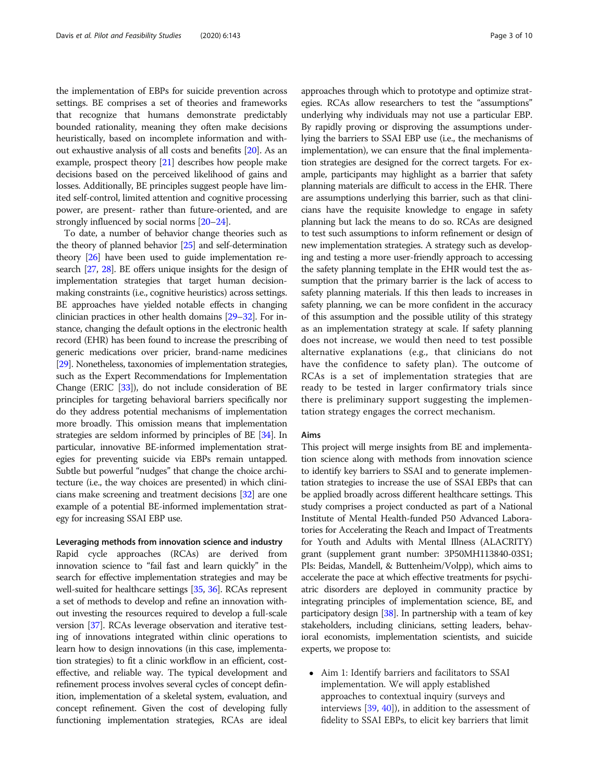the implementation of EBPs for suicide prevention across settings. BE comprises a set of theories and frameworks that recognize that humans demonstrate predictably bounded rationality, meaning they often make decisions heuristically, based on incomplete information and without exhaustive analysis of all costs and benefits [[20](#page-10-0)]. As an example, prospect theory [\[21\]](#page-10-0) describes how people make decisions based on the perceived likelihood of gains and losses. Additionally, BE principles suggest people have limited self-control, limited attention and cognitive processing power, are present- rather than future-oriented, and are strongly influenced by social norms [\[20](#page-10-0)–[24](#page-10-0)].

To date, a number of behavior change theories such as the theory of planned behavior [\[25\]](#page-10-0) and self-determination theory [\[26\]](#page-10-0) have been used to guide implementation research [\[27](#page-10-0), [28](#page-10-0)]. BE offers unique insights for the design of implementation strategies that target human decisionmaking constraints (i.e., cognitive heuristics) across settings. BE approaches have yielded notable effects in changing clinician practices in other health domains [\[29](#page-10-0)–[32](#page-11-0)]. For instance, changing the default options in the electronic health record (EHR) has been found to increase the prescribing of generic medications over pricier, brand-name medicines [[29](#page-10-0)]. Nonetheless, taxonomies of implementation strategies, such as the Expert Recommendations for Implementation Change (ERIC [\[33\]](#page-11-0)), do not include consideration of BE principles for targeting behavioral barriers specifically nor do they address potential mechanisms of implementation more broadly. This omission means that implementation strategies are seldom informed by principles of BE [\[34\]](#page-11-0). In particular, innovative BE-informed implementation strategies for preventing suicide via EBPs remain untapped. Subtle but powerful "nudges" that change the choice architecture (i.e., the way choices are presented) in which clinicians make screening and treatment decisions [\[32\]](#page-11-0) are one example of a potential BE-informed implementation strategy for increasing SSAI EBP use.

# Leveraging methods from innovation science and industry

Rapid cycle approaches (RCAs) are derived from innovation science to "fail fast and learn quickly" in the search for effective implementation strategies and may be well-suited for healthcare settings [[35](#page-11-0), [36\]](#page-11-0). RCAs represent a set of methods to develop and refine an innovation without investing the resources required to develop a full-scale version [[37](#page-11-0)]. RCAs leverage observation and iterative testing of innovations integrated within clinic operations to learn how to design innovations (in this case, implementation strategies) to fit a clinic workflow in an efficient, costeffective, and reliable way. The typical development and refinement process involves several cycles of concept definition, implementation of a skeletal system, evaluation, and concept refinement. Given the cost of developing fully functioning implementation strategies, RCAs are ideal approaches through which to prototype and optimize strategies. RCAs allow researchers to test the "assumptions" underlying why individuals may not use a particular EBP. By rapidly proving or disproving the assumptions underlying the barriers to SSAI EBP use (i.e., the mechanisms of implementation), we can ensure that the final implementation strategies are designed for the correct targets. For example, participants may highlight as a barrier that safety planning materials are difficult to access in the EHR. There are assumptions underlying this barrier, such as that clinicians have the requisite knowledge to engage in safety planning but lack the means to do so. RCAs are designed to test such assumptions to inform refinement or design of new implementation strategies. A strategy such as developing and testing a more user-friendly approach to accessing the safety planning template in the EHR would test the assumption that the primary barrier is the lack of access to safety planning materials. If this then leads to increases in safety planning, we can be more confident in the accuracy of this assumption and the possible utility of this strategy as an implementation strategy at scale. If safety planning does not increase, we would then need to test possible alternative explanations (e.g., that clinicians do not have the confidence to safety plan). The outcome of RCAs is a set of implementation strategies that are ready to be tested in larger confirmatory trials since there is preliminary support suggesting the implementation strategy engages the correct mechanism.

# Aims

This project will merge insights from BE and implementation science along with methods from innovation science to identify key barriers to SSAI and to generate implementation strategies to increase the use of SSAI EBPs that can be applied broadly across different healthcare settings. This study comprises a project conducted as part of a National Institute of Mental Health-funded P50 Advanced Laboratories for Accelerating the Reach and Impact of Treatments for Youth and Adults with Mental Illness (ALACRITY) grant (supplement grant number: 3P50MH113840-03S1; PIs: Beidas, Mandell, & Buttenheim/Volpp), which aims to accelerate the pace at which effective treatments for psychiatric disorders are deployed in community practice by integrating principles of implementation science, BE, and participatory design [\[38\]](#page-11-0). In partnership with a team of key stakeholders, including clinicians, setting leaders, behavioral economists, implementation scientists, and suicide experts, we propose to:

 Aim 1: Identify barriers and facilitators to SSAI implementation. We will apply established approaches to contextual inquiry (surveys and interviews  $[39, 40]$  $[39, 40]$  $[39, 40]$  $[39, 40]$ , in addition to the assessment of fidelity to SSAI EBPs, to elicit key barriers that limit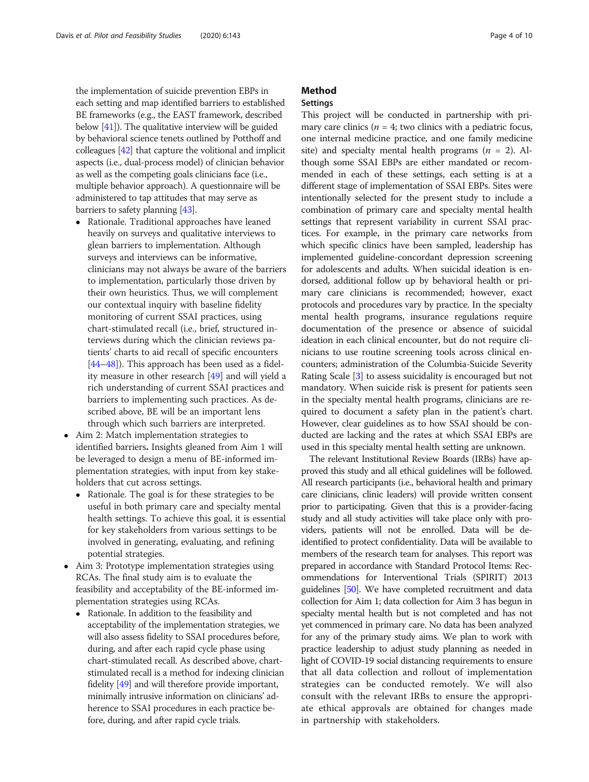the implementation of suicide prevention EBPs in each setting and map identified barriers to established BE frameworks (e.g., the EAST framework, described below [[41](#page-11-0)]). The qualitative interview will be guided by behavioral science tenets outlined by Potthoff and colleagues [\[42\]](#page-11-0) that capture the volitional and implicit aspects (i.e., dual-process model) of clinician behavior as well as the competing goals clinicians face (i.e., multiple behavior approach). A questionnaire will be administered to tap attitudes that may serve as barriers to safety planning [[43](#page-11-0)].

- Rationale. Traditional approaches have leaned heavily on surveys and qualitative interviews to glean barriers to implementation. Although surveys and interviews can be informative, clinicians may not always be aware of the barriers to implementation, particularly those driven by their own heuristics. Thus, we will complement our contextual inquiry with baseline fidelity monitoring of current SSAI practices, using chart-stimulated recall (i.e., brief, structured interviews during which the clinician reviews patients' charts to aid recall of specific encounters  $[44–48]$  $[44–48]$  $[44–48]$  $[44–48]$  $[44–48]$ ). This approach has been used as a fidelity measure in other research [[49\]](#page-11-0) and will yield a rich understanding of current SSAI practices and barriers to implementing such practices. As described above, BE will be an important lens through which such barriers are interpreted.
- Aim 2: Match implementation strategies to identified barriers. Insights gleaned from Aim 1 will be leveraged to design a menu of BE-informed implementation strategies, with input from key stakeholders that cut across settings.
	- Rationale. The goal is for these strategies to be useful in both primary care and specialty mental health settings. To achieve this goal, it is essential for key stakeholders from various settings to be involved in generating, evaluating, and refining potential strategies.
- Aim 3: Prototype implementation strategies using RCAs. The final study aim is to evaluate the feasibility and acceptability of the BE-informed implementation strategies using RCAs.
	- Rationale. In addition to the feasibility and acceptability of the implementation strategies, we will also assess fidelity to SSAI procedures before, during, and after each rapid cycle phase using chart-stimulated recall. As described above, chartstimulated recall is a method for indexing clinician fidelity [[49](#page-11-0)] and will therefore provide important, minimally intrusive information on clinicians' adherence to SSAI procedures in each practice before, during, and after rapid cycle trials.

# Method

# Settings

This project will be conducted in partnership with primary care clinics ( $n = 4$ ; two clinics with a pediatric focus, one internal medicine practice, and one family medicine site) and specialty mental health programs  $(n = 2)$ . Although some SSAI EBPs are either mandated or recommended in each of these settings, each setting is at a different stage of implementation of SSAI EBPs. Sites were intentionally selected for the present study to include a combination of primary care and specialty mental health settings that represent variability in current SSAI practices. For example, in the primary care networks from which specific clinics have been sampled, leadership has implemented guideline-concordant depression screening for adolescents and adults. When suicidal ideation is endorsed, additional follow up by behavioral health or primary care clinicians is recommended; however, exact protocols and procedures vary by practice. In the specialty mental health programs, insurance regulations require documentation of the presence or absence of suicidal ideation in each clinical encounter, but do not require clinicians to use routine screening tools across clinical encounters; administration of the Columbia-Suicide Severity Rating Scale [[3\]](#page-10-0) to assess suicidality is encouraged but not mandatory. When suicide risk is present for patients seen in the specialty mental health programs, clinicians are required to document a safety plan in the patient's chart. However, clear guidelines as to how SSAI should be conducted are lacking and the rates at which SSAI EBPs are used in this specialty mental health setting are unknown.

The relevant Institutional Review Boards (IRBs) have approved this study and all ethical guidelines will be followed. All research participants (i.e., behavioral health and primary care clinicians, clinic leaders) will provide written consent prior to participating. Given that this is a provider-facing study and all study activities will take place only with providers, patients will not be enrolled. Data will be deidentified to protect confidentiality. Data will be available to members of the research team for analyses. This report was prepared in accordance with Standard Protocol Items: Recommendations for Interventional Trials (SPIRIT) 2013 guidelines [[50](#page-11-0)]. We have completed recruitment and data collection for Aim 1; data collection for Aim 3 has begun in specialty mental health but is not completed and has not yet commenced in primary care. No data has been analyzed for any of the primary study aims. We plan to work with practice leadership to adjust study planning as needed in light of COVID-19 social distancing requirements to ensure that all data collection and rollout of implementation strategies can be conducted remotely. We will also consult with the relevant IRBs to ensure the appropriate ethical approvals are obtained for changes made in partnership with stakeholders.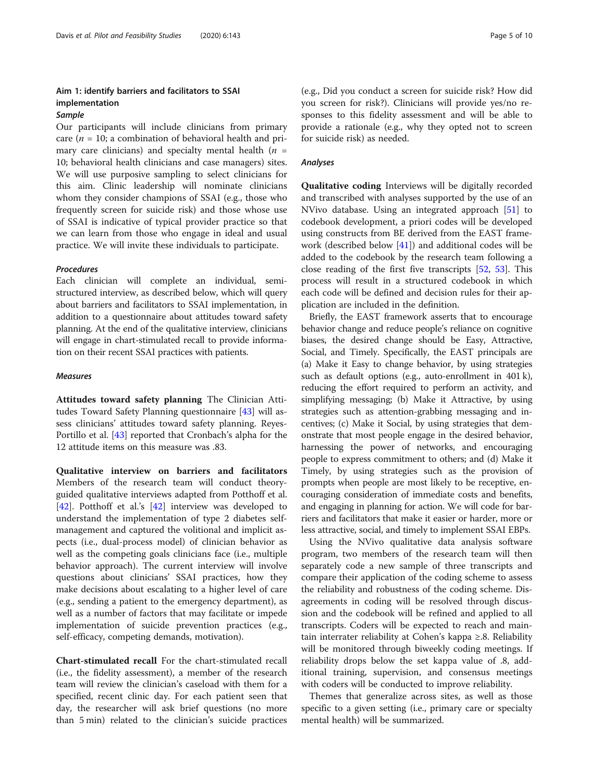# Aim 1: identify barriers and facilitators to SSAI implementation

# Sample

Our participants will include clinicians from primary care ( $n = 10$ ; a combination of behavioral health and primary care clinicians) and specialty mental health ( $n =$ 10; behavioral health clinicians and case managers) sites. We will use purposive sampling to select clinicians for this aim. Clinic leadership will nominate clinicians whom they consider champions of SSAI (e.g., those who frequently screen for suicide risk) and those whose use of SSAI is indicative of typical provider practice so that we can learn from those who engage in ideal and usual practice. We will invite these individuals to participate.

# Procedures

Each clinician will complete an individual, semistructured interview, as described below, which will query about barriers and facilitators to SSAI implementation, in addition to a questionnaire about attitudes toward safety planning. At the end of the qualitative interview, clinicians will engage in chart-stimulated recall to provide information on their recent SSAI practices with patients.

# Measures

Attitudes toward safety planning The Clinician Attitudes Toward Safety Planning questionnaire [[43\]](#page-11-0) will assess clinicians' attitudes toward safety planning. Reyes-Portillo et al. [[43\]](#page-11-0) reported that Cronbach's alpha for the 12 attitude items on this measure was .83.

Qualitative interview on barriers and facilitators Members of the research team will conduct theoryguided qualitative interviews adapted from Potthoff et al. [[42\]](#page-11-0). Potthoff et al.'s [[42\]](#page-11-0) interview was developed to understand the implementation of type 2 diabetes selfmanagement and captured the volitional and implicit aspects (i.e., dual-process model) of clinician behavior as well as the competing goals clinicians face (i.e., multiple behavior approach). The current interview will involve questions about clinicians' SSAI practices, how they make decisions about escalating to a higher level of care (e.g., sending a patient to the emergency department), as well as a number of factors that may facilitate or impede implementation of suicide prevention practices (e.g., self-efficacy, competing demands, motivation).

Chart-stimulated recall For the chart-stimulated recall (i.e., the fidelity assessment), a member of the research team will review the clinician's caseload with them for a specified, recent clinic day. For each patient seen that day, the researcher will ask brief questions (no more than 5 min) related to the clinician's suicide practices

(e.g., Did you conduct a screen for suicide risk? How did you screen for risk?). Clinicians will provide yes/no responses to this fidelity assessment and will be able to provide a rationale (e.g., why they opted not to screen for suicide risk) as needed.

# Analyses

Qualitative coding Interviews will be digitally recorded and transcribed with analyses supported by the use of an NVivo database. Using an integrated approach [[51](#page-11-0)] to codebook development, a priori codes will be developed using constructs from BE derived from the EAST framework (described below [[41\]](#page-11-0)) and additional codes will be added to the codebook by the research team following a close reading of the first five transcripts [\[52](#page-11-0), [53\]](#page-11-0). This process will result in a structured codebook in which each code will be defined and decision rules for their application are included in the definition.

Briefly, the EAST framework asserts that to encourage behavior change and reduce people's reliance on cognitive biases, the desired change should be Easy, Attractive, Social, and Timely. Specifically, the EAST principals are (a) Make it Easy to change behavior, by using strategies such as default options (e.g., auto-enrollment in 401 k), reducing the effort required to perform an activity, and simplifying messaging; (b) Make it Attractive, by using strategies such as attention-grabbing messaging and incentives; (c) Make it Social, by using strategies that demonstrate that most people engage in the desired behavior, harnessing the power of networks, and encouraging people to express commitment to others; and (d) Make it Timely, by using strategies such as the provision of prompts when people are most likely to be receptive, encouraging consideration of immediate costs and benefits, and engaging in planning for action. We will code for barriers and facilitators that make it easier or harder, more or less attractive, social, and timely to implement SSAI EBPs.

Using the NVivo qualitative data analysis software program, two members of the research team will then separately code a new sample of three transcripts and compare their application of the coding scheme to assess the reliability and robustness of the coding scheme. Disagreements in coding will be resolved through discussion and the codebook will be refined and applied to all transcripts. Coders will be expected to reach and maintain interrater reliability at Cohen's kappa ≥.8. Reliability will be monitored through biweekly coding meetings. If reliability drops below the set kappa value of .8, additional training, supervision, and consensus meetings with coders will be conducted to improve reliability.

Themes that generalize across sites, as well as those specific to a given setting (i.e., primary care or specialty mental health) will be summarized.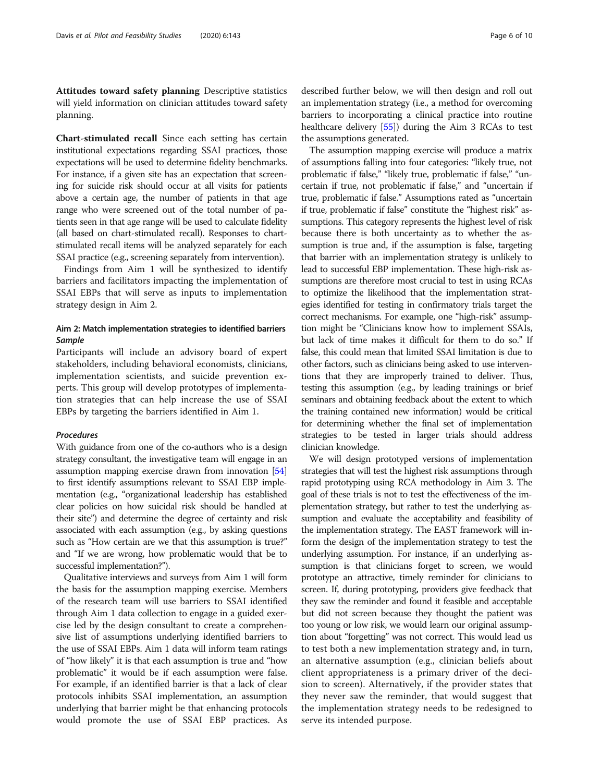Attitudes toward safety planning Descriptive statistics will yield information on clinician attitudes toward safety planning.

Chart-stimulated recall Since each setting has certain institutional expectations regarding SSAI practices, those expectations will be used to determine fidelity benchmarks. For instance, if a given site has an expectation that screening for suicide risk should occur at all visits for patients above a certain age, the number of patients in that age range who were screened out of the total number of patients seen in that age range will be used to calculate fidelity (all based on chart-stimulated recall). Responses to chartstimulated recall items will be analyzed separately for each SSAI practice (e.g., screening separately from intervention).

Findings from Aim 1 will be synthesized to identify barriers and facilitators impacting the implementation of SSAI EBPs that will serve as inputs to implementation strategy design in Aim 2.

# Aim 2: Match implementation strategies to identified barriers Sample

Participants will include an advisory board of expert stakeholders, including behavioral economists, clinicians, implementation scientists, and suicide prevention experts. This group will develop prototypes of implementation strategies that can help increase the use of SSAI EBPs by targeting the barriers identified in Aim 1.

# Procedures

With guidance from one of the co-authors who is a design strategy consultant, the investigative team will engage in an assumption mapping exercise drawn from innovation [\[54](#page-11-0)] to first identify assumptions relevant to SSAI EBP implementation (e.g., "organizational leadership has established clear policies on how suicidal risk should be handled at their site") and determine the degree of certainty and risk associated with each assumption (e.g., by asking questions such as "How certain are we that this assumption is true?" and "If we are wrong, how problematic would that be to successful implementation?").

Qualitative interviews and surveys from Aim 1 will form the basis for the assumption mapping exercise. Members of the research team will use barriers to SSAI identified through Aim 1 data collection to engage in a guided exercise led by the design consultant to create a comprehensive list of assumptions underlying identified barriers to the use of SSAI EBPs. Aim 1 data will inform team ratings of "how likely" it is that each assumption is true and "how problematic" it would be if each assumption were false. For example, if an identified barrier is that a lack of clear protocols inhibits SSAI implementation, an assumption underlying that barrier might be that enhancing protocols would promote the use of SSAI EBP practices. As

described further below, we will then design and roll out an implementation strategy (i.e., a method for overcoming barriers to incorporating a clinical practice into routine healthcare delivery [\[55\]](#page-11-0)) during the Aim 3 RCAs to test the assumptions generated.

The assumption mapping exercise will produce a matrix of assumptions falling into four categories: "likely true, not problematic if false," "likely true, problematic if false," "uncertain if true, not problematic if false," and "uncertain if true, problematic if false." Assumptions rated as "uncertain if true, problematic if false" constitute the "highest risk" assumptions. This category represents the highest level of risk because there is both uncertainty as to whether the assumption is true and, if the assumption is false, targeting that barrier with an implementation strategy is unlikely to lead to successful EBP implementation. These high-risk assumptions are therefore most crucial to test in using RCAs to optimize the likelihood that the implementation strategies identified for testing in confirmatory trials target the correct mechanisms. For example, one "high-risk" assumption might be "Clinicians know how to implement SSAIs, but lack of time makes it difficult for them to do so." If false, this could mean that limited SSAI limitation is due to other factors, such as clinicians being asked to use interventions that they are improperly trained to deliver. Thus, testing this assumption (e.g., by leading trainings or brief seminars and obtaining feedback about the extent to which the training contained new information) would be critical for determining whether the final set of implementation strategies to be tested in larger trials should address clinician knowledge.

We will design prototyped versions of implementation strategies that will test the highest risk assumptions through rapid prototyping using RCA methodology in Aim 3. The goal of these trials is not to test the effectiveness of the implementation strategy, but rather to test the underlying assumption and evaluate the acceptability and feasibility of the implementation strategy. The EAST framework will inform the design of the implementation strategy to test the underlying assumption. For instance, if an underlying assumption is that clinicians forget to screen, we would prototype an attractive, timely reminder for clinicians to screen. If, during prototyping, providers give feedback that they saw the reminder and found it feasible and acceptable but did not screen because they thought the patient was too young or low risk, we would learn our original assumption about "forgetting" was not correct. This would lead us to test both a new implementation strategy and, in turn, an alternative assumption (e.g., clinician beliefs about client appropriateness is a primary driver of the decision to screen). Alternatively, if the provider states that they never saw the reminder, that would suggest that the implementation strategy needs to be redesigned to serve its intended purpose.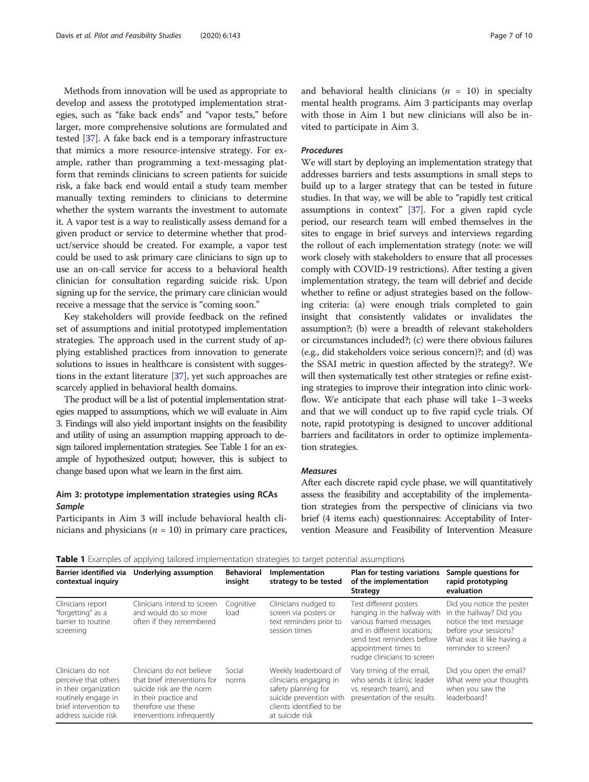Methods from innovation will be used as appropriate to develop and assess the prototyped implementation strategies, such as "fake back ends" and "vapor tests," before larger, more comprehensive solutions are formulated and tested [[37](#page-11-0)]. A fake back end is a temporary infrastructure that mimics a more resource-intensive strategy. For example, rather than programming a text-messaging platform that reminds clinicians to screen patients for suicide risk, a fake back end would entail a study team member manually texting reminders to clinicians to determine whether the system warrants the investment to automate it. A vapor test is a way to realistically assess demand for a given product or service to determine whether that product/service should be created. For example, a vapor test could be used to ask primary care clinicians to sign up to use an on-call service for access to a behavioral health clinician for consultation regarding suicide risk. Upon signing up for the service, the primary care clinician would receive a message that the service is "coming soon."

Key stakeholders will provide feedback on the refined set of assumptions and initial prototyped implementation strategies. The approach used in the current study of applying established practices from innovation to generate solutions to issues in healthcare is consistent with suggestions in the extant literature [\[37\]](#page-11-0), yet such approaches are scarcely applied in behavioral health domains.

The product will be a list of potential implementation strategies mapped to assumptions, which we will evaluate in Aim 3. Findings will also yield important insights on the feasibility and utility of using an assumption mapping approach to design tailored implementation strategies. See Table 1 for an example of hypothesized output; however, this is subject to change based upon what we learn in the first aim.

# Aim 3: prototype implementation strategies using RCAs Sample

Participants in Aim 3 will include behavioral health clinicians and physicians ( $n = 10$ ) in primary care practices, and behavioral health clinicians ( $n = 10$ ) in specialty mental health programs. Aim 3 participants may overlap with those in Aim 1 but new clinicians will also be invited to participate in Aim 3.

# Procedures

We will start by deploying an implementation strategy that addresses barriers and tests assumptions in small steps to build up to a larger strategy that can be tested in future studies. In that way, we will be able to "rapidly test critical assumptions in context" [[37](#page-11-0)]. For a given rapid cycle period, our research team will embed themselves in the sites to engage in brief surveys and interviews regarding the rollout of each implementation strategy (note: we will work closely with stakeholders to ensure that all processes comply with COVID-19 restrictions). After testing a given implementation strategy, the team will debrief and decide whether to refine or adjust strategies based on the following criteria: (a) were enough trials completed to gain insight that consistently validates or invalidates the assumption?; (b) were a breadth of relevant stakeholders or circumstances included?; (c) were there obvious failures (e.g., did stakeholders voice serious concern)?; and (d) was the SSAI metric in question affected by the strategy?. We will then systematically test other strategies or refine existing strategies to improve their integration into clinic workflow. We anticipate that each phase will take 1–3 weeks and that we will conduct up to five rapid cycle trials. Of note, rapid prototyping is designed to uncover additional barriers and facilitators in order to optimize implementation strategies.

# Measures

After each discrete rapid cycle phase, we will quantitatively assess the feasibility and acceptability of the implementation strategies from the perspective of clinicians via two brief (4 items each) questionnaires: Acceptability of Intervention Measure and Feasibility of Intervention Measure

|  |  |  |  |  |  | Table 1 Examples of applying tailored implementation strategies to target potential assumptions |  |
|--|--|--|--|--|--|-------------------------------------------------------------------------------------------------|--|
|--|--|--|--|--|--|-------------------------------------------------------------------------------------------------|--|

| Barrier identified via<br>contextual inquiry                                                                                               | Underlying assumption                                                                                                                                                | <b>Behavioral</b><br>insight | Implementation<br>strategy to be tested                                                                                                          | Plan for testing variations<br>of the implementation<br>Strategy                                                                                                                                    | Sample questions for<br>rapid prototyping<br>evaluation                                                                                                      |
|--------------------------------------------------------------------------------------------------------------------------------------------|----------------------------------------------------------------------------------------------------------------------------------------------------------------------|------------------------------|--------------------------------------------------------------------------------------------------------------------------------------------------|-----------------------------------------------------------------------------------------------------------------------------------------------------------------------------------------------------|--------------------------------------------------------------------------------------------------------------------------------------------------------------|
| Clinicians report<br>"forgetting" as a<br>barrier to routine<br>screening                                                                  | Clinicians intend to screen<br>and would do so more<br>often if they remembered                                                                                      | Cognitive<br>load            | Clinicians nudged to<br>screen via posters or<br>text reminders prior to<br>session times                                                        | Test different posters<br>hanging in the hallway with<br>various framed messages<br>and in different locations:<br>send text reminders before<br>appointment times to<br>nudge clinicians to screen | Did you notice the poster<br>in the hallway? Did you<br>notice the text message<br>before your sessions?<br>What was it like having a<br>reminder to screen? |
| Clinicians do not<br>perceive that others<br>in their organization<br>routinely engage in<br>brief intervention to<br>address suicide risk | Clinicians do not believe<br>that brief interventions for<br>suicide risk are the norm<br>in their practice and<br>therefore use these<br>interventions infrequently | Social<br>norms              | Weekly leaderboard of<br>clinicians engaging in<br>safety planning for<br>suicide prevention with<br>clients identified to be<br>at suicide risk | Vary timing of the email,<br>who sends it (clinic leader<br>vs. research team), and<br>presentation of the results                                                                                  | Did you open the email?<br>What were your thoughts<br>when you saw the<br>leaderboard?                                                                       |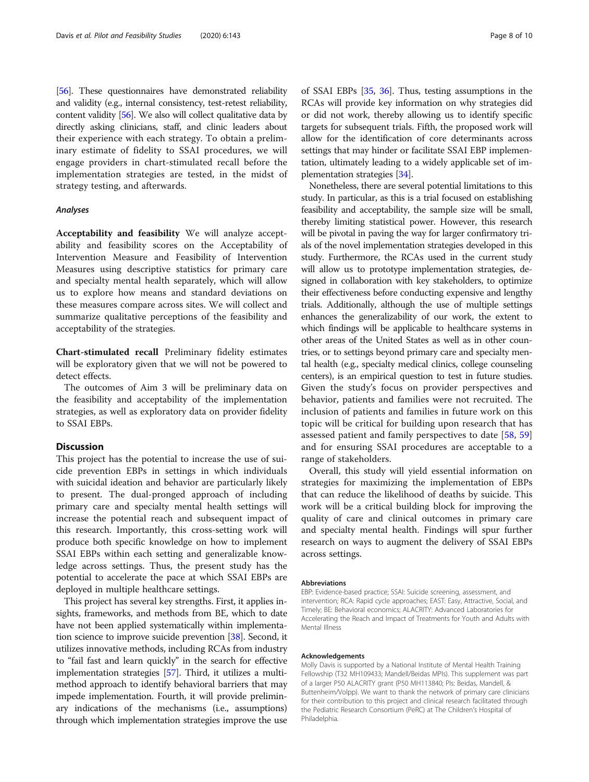[[56](#page-11-0)]. These questionnaires have demonstrated reliability and validity (e.g., internal consistency, test-retest reliability, content validity [\[56](#page-11-0)]. We also will collect qualitative data by directly asking clinicians, staff, and clinic leaders about their experience with each strategy. To obtain a preliminary estimate of fidelity to SSAI procedures, we will engage providers in chart-stimulated recall before the implementation strategies are tested, in the midst of strategy testing, and afterwards.

## Analyses

Acceptability and feasibility We will analyze acceptability and feasibility scores on the Acceptability of Intervention Measure and Feasibility of Intervention Measures using descriptive statistics for primary care and specialty mental health separately, which will allow us to explore how means and standard deviations on these measures compare across sites. We will collect and summarize qualitative perceptions of the feasibility and acceptability of the strategies.

Chart-stimulated recall Preliminary fidelity estimates will be exploratory given that we will not be powered to detect effects.

The outcomes of Aim 3 will be preliminary data on the feasibility and acceptability of the implementation strategies, as well as exploratory data on provider fidelity to SSAI EBPs.

# Discussion

This project has the potential to increase the use of suicide prevention EBPs in settings in which individuals with suicidal ideation and behavior are particularly likely to present. The dual-pronged approach of including primary care and specialty mental health settings will increase the potential reach and subsequent impact of this research. Importantly, this cross-setting work will produce both specific knowledge on how to implement SSAI EBPs within each setting and generalizable knowledge across settings. Thus, the present study has the potential to accelerate the pace at which SSAI EBPs are deployed in multiple healthcare settings.

This project has several key strengths. First, it applies insights, frameworks, and methods from BE, which to date have not been applied systematically within implementation science to improve suicide prevention [\[38\]](#page-11-0). Second, it utilizes innovative methods, including RCAs from industry to "fail fast and learn quickly" in the search for effective implementation strategies [\[57\]](#page-11-0). Third, it utilizes a multimethod approach to identify behavioral barriers that may impede implementation. Fourth, it will provide preliminary indications of the mechanisms (i.e., assumptions) through which implementation strategies improve the use of SSAI EBPs [\[35,](#page-11-0) [36\]](#page-11-0). Thus, testing assumptions in the RCAs will provide key information on why strategies did or did not work, thereby allowing us to identify specific targets for subsequent trials. Fifth, the proposed work will allow for the identification of core determinants across settings that may hinder or facilitate SSAI EBP implementation, ultimately leading to a widely applicable set of implementation strategies [\[34\]](#page-11-0).

Nonetheless, there are several potential limitations to this study. In particular, as this is a trial focused on establishing feasibility and acceptability, the sample size will be small, thereby limiting statistical power. However, this research will be pivotal in paving the way for larger confirmatory trials of the novel implementation strategies developed in this study. Furthermore, the RCAs used in the current study will allow us to prototype implementation strategies, designed in collaboration with key stakeholders, to optimize their effectiveness before conducting expensive and lengthy trials. Additionally, although the use of multiple settings enhances the generalizability of our work, the extent to which findings will be applicable to healthcare systems in other areas of the United States as well as in other countries, or to settings beyond primary care and specialty mental health (e.g., specialty medical clinics, college counseling centers), is an empirical question to test in future studies. Given the study's focus on provider perspectives and behavior, patients and families were not recruited. The inclusion of patients and families in future work on this topic will be critical for building upon research that has assessed patient and family perspectives to date [[58](#page-11-0), [59](#page-11-0)] and for ensuring SSAI procedures are acceptable to a range of stakeholders.

Overall, this study will yield essential information on strategies for maximizing the implementation of EBPs that can reduce the likelihood of deaths by suicide. This work will be a critical building block for improving the quality of care and clinical outcomes in primary care and specialty mental health. Findings will spur further research on ways to augment the delivery of SSAI EBPs across settings.

#### Abbreviations

EBP: Evidence-based practice; SSAI: Suicide screening, assessment, and intervention; RCA: Rapid cycle approaches; EAST: Easy, Attractive, Social, and Timely; BE: Behavioral economics; ALACRITY: Advanced Laboratories for Accelerating the Reach and Impact of Treatments for Youth and Adults with Mental Illness

### Acknowledgements

Molly Davis is supported by a National Institute of Mental Health Training Fellowship (T32 MH109433; Mandell/Beidas MPIs). This supplement was part of a larger P50 ALACRITY grant (P50 MH113840; PIs: Beidas, Mandell, & Buttenheim/Volpp). We want to thank the network of primary care clinicians for their contribution to this project and clinical research facilitated through the Pediatric Research Consortium (PeRC) at The Children's Hospital of Philadelphia.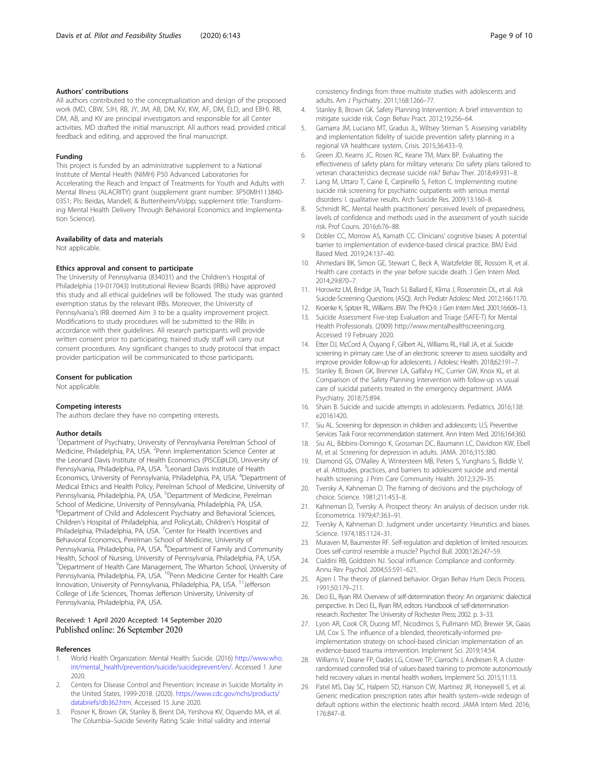# <span id="page-10-0"></span>Authors' contributions

All authors contributed to the conceptualization and design of the proposed work (MD, CBW, SJH, RB, JY, JM, AB, DM, KV, KW, AF, DM, ELD, and EBH). RB, DM, AB, and KV are principal investigators and responsible for all Center activities. MD drafted the initial manuscript. All authors read, provided critical feedback and editing, and approved the final manuscript.

## Funding

This project is funded by an administrative supplement to a National Institute of Mental Health (NIMH) P50 Advanced Laboratories for Accelerating the Reach and Impact of Treatments for Youth and Adults with Mental Illness (ALACRITY) grant (supplement grant number: 3P50MH113840- 03S1; PIs: Beidas, Mandell, & Buttenheim/Volpp; supplement title: Transforming Mental Health Delivery Through Behavioral Economics and Implementation Science).

#### Availability of data and materials

Not applicable.

# Ethics approval and consent to participate

The University of Pennsylvania (834031) and the Children's Hospital of Philadelphia (19-017043) Institutional Review Boards (IRBs) have approved this study and all ethical guidelines will be followed. The study was granted exemption status by the relevant IRBs. Moreover, the University of Pennsylvania's IRB deemed Aim 3 to be a quality improvement project. Modifications to study procedures will be submitted to the IRBs in accordance with their guidelines. All research participants will provide written consent prior to participating; trained study staff will carry out consent procedures. Any significant changes to study protocol that impact provider participation will be communicated to those participants.

## Consent for publication

Not applicable.

#### Competing interests

The authors declare they have no competing interests.

#### Author details

<sup>1</sup>Department of Psychiatry, University of Pennsylvania Perelman School of Medicine, Philadelphia, PA, USA. <sup>2</sup> Penn Implementation Science Center at the Leonard Davis Institute of Health Economics (PISCE@LDI), University of Pennsylvania, Philadelphia, PA, USA. <sup>3</sup>Leonard Davis Institute of Health Economics, University of Pennsylvania, Philadelphia, PA, USA. <sup>4</sup>Department of Medical Ethics and Health Policy, Perelman School of Medicine, University of Pennsylvania, Philadelphia, PA, USA. <sup>5</sup>Department of Medicine, Perelman School of Medicine, University of Pennsylvania, Philadelphia, PA, USA. <sup>6</sup>Department of Child and Adolescent Psychiatry and Behavioral Sciences, Children's Hospital of Philadelphia, and PolicyLab, Children's Hospital of Philadelphia, Philadelphia, PA, USA. <sup>7</sup>Center for Health Incentives and Behavioral Economics, Perelman School of Medicine, University of Pennsylvania, Philadelphia, PA, USA. <sup>8</sup>Department of Family and Community Health, School of Nursing, University of Pennsylvania, Philadelphia, PA, USA. 9 Department of Health Care Management, The Wharton School, University of Pennsylvania, Philadelphia, PA, USA. <sup>10</sup>Penn Medicine Center for Health Care Innovation, University of Pennsylvania, Philadelphia, PA, USA. <sup>11</sup> Jefferson College of Life Sciences, Thomas Jefferson University, University of Pennsylvania, Philadelphia, PA, USA.

# Received: 1 April 2020 Accepted: 14 September 2020 Published online: 26 September 2020

#### References

- 1. World Health Organization: Mental Health: Suicide. (2016) [http://www.who.](http://www.who.int/mental_health/prevention/suicide/suicideprevent/en/) [int/mental\\_health/prevention/suicide/suicideprevent/en/](http://www.who.int/mental_health/prevention/suicide/suicideprevent/en/). Accessed 1 June 2020.
- 2. Centers for Disease Control and Prevention: Increase in Suicide Mortality in the United States, 1999-2018. (2020). [https://www.cdc.gov/nchs/products/](https://www.cdc.gov/nchs/products/databriefs/db362.htm) [databriefs/db362.htm.](https://www.cdc.gov/nchs/products/databriefs/db362.htm) Accessed 15 June 2020.
- Posner K, Brown GK, Stanley B, Brent DA, Yershova KV, Oquendo MA, et al. The Columbia–Suicide Severity Rating Scale: Initial validity and internal

consistency findings from three multisite studies with adolescents and adults. Am J Psychiatry. 2011;168:1266–77.

- 4. Stanley B, Brown GK. Safety Planning Intervention: A brief intervention to mitigate suicide risk. Cogn Behav Pract. 2012;19:256–64.
- 5. Gamarra JM, Luciano MT, Gradus JL, Wiltsey Stirman S. Assessing variability and implementation fidelity of suicide prevention safety planning in a regional VA healthcare system. Crisis. 2015;36:433–9.
- 6. Green JD, Kearns JC, Rosen RC, Keane TM, Marx BP. Evaluating the effectiveness of safety plans for military veterans: Do safety plans tailored to veteran characteristics decrease suicide risk? Behav Ther. 2018;49:931–8.
- 7. Lang M, Uttaro T, Caine E, Carpinello S, Felton C. Implementing routine suicide risk screening for psychiatric outpatients with serious mental disorders: I. qualitative results. Arch Suicide Res. 2009;13:160–8.
- 8. Schmidt RC. Mental health practitioners' perceived levels of preparedness, levels of confidence and methods used in the assessment of youth suicide risk. Prof Couns. 2016;6:76–88.
- 9. Dobler CC, Morrow AS, Kamath CC. Clinicians' cognitive biases: A potential barrier to implementation of evidence-based clinical practice. BMJ Evid Based Med. 2019;24:137–40.
- 10. Ahmedani BK, Simon GE, Stewart C, Beck A, Waitzfelder BE, Rossom R, et al. Health care contacts in the year before suicide death. J Gen Intern Med. 2014;29:870–7.
- 11. Horowitz LM, Bridge JA, Teach SJ, Ballard E, Klima J, Rosenstein DL, et al. Ask Suicide-Screening Questions (ASQ). Arch Pediatr Adolesc Med. 2012;166:1170.
- 12. Kroenke K, Spitzer RL, Williams JBW. The PHQ-9. J Gen Intern Med. 2001;16:606–13.
- 13. Suicide Assessment Five-step Evaluation and Triage (SAFE-T) for Mental Health Professionals. (2009) http://www.mentalhealthscreening.org. Accessed 19 February 2020.
- 14. Etter DJ, McCord A, Ouyang F, Gilbert AL, Williams RL, Hall JA, et al. Suicide screening in primary care: Use of an electronic screener to assess suicidality and improve provider follow-up for adolescents. J Adolesc Health. 2018;62:191–7.
- 15. Stanley B, Brown GK, Brenner LA, Galfalvy HC, Currier GW, Knox KL, et al. Comparison of the Safety Planning Intervention with follow-up vs usual care of suicidal patients treated in the emergency department. JAMA Psychiatry. 2018;75:894.
- 16. Shain B. Suicide and suicide attempts in adolescents. Pediatrics. 2016;138: e20161420.
- 17. Siu AL. Screening for depression in children and adolescents: U.S. Preventive Services Task Force recommendation statement. Ann Intern Med. 2016;164:360.
- Siu AL, Bibbins-Domingo K, Grossman DC, Baumann LC, Davidson KW, Ebell M, et al. Screening for depression in adults. JAMA. 2016;315:380.
- 19. Diamond GS, O'Malley A, Wintersteen MB, Peters S, Yunghans S, Biddle V, et al. Attitudes, practices, and barriers to adolescent suicide and mental health screening. J Prim Care Community Health. 2012;3:29–35.
- 20. Tversky A, Kahneman D. The framing of decisions and the psychology of choice. Science. 1981;211:453–8.
- 21. Kahneman D, Tversky A. Prospect theory: An analysis of decision under risk. Econometrica. 1979;47:363–91.
- 22. Tversky A, Kahneman D. Judgment under uncertainty: Heuristics and biases. Science. 1974;185:1124–31.
- 23. Muraven M, Baumeister RF. Self-regulation and depletion of limited resources: Does self-control resemble a muscle? Psychol Bull. 2000;126:247–59.
- 24. Cialdini RB, Goldstein NJ. Social influence: Compliance and conformity. Annu Rev Psychol. 2004;55:591–621.
- 25. Ajzen I. The theory of planned behavior. Organ Behav Hum Decis Process. 1991;50:179–211.
- 26. Deci EL, Ryan RM. Overview of self-determination theory: An organismic dialectical perspective. In: Deci EL, Ryan RM, editors. Handbook of self-determination research. Rochester: The University of Rochester Press; 2002. p. 3–33.
- 27. Lyon AR, Cook CR, Duong MT, Nicodimos S, Pullmann MD, Brewer SK, Gaias LM, Cox S. The influence of a blended, theoretically-informed preimplementation strategy on school-based clinician implementation of an evidence-based trauma intervention. Implement Sci. 2019;14:54.
- 28. Williams V, Deane FP, Oades LG, Crowe TP, Ciarrochi J, Andresen R. A clusterrandomised controlled trial of values-based training to promote autonomously held recovery values in mental health workers. Implement Sci. 2015;11:13.
- 29. Patel MS, Day SC, Halpern SD, Hanson CW, Martinez JR, Honeywell S, et al. Generic medication prescription rates after health system–wide redesign of default options within the electronic health record. JAMA Intern Med. 2016; 176:847–8.